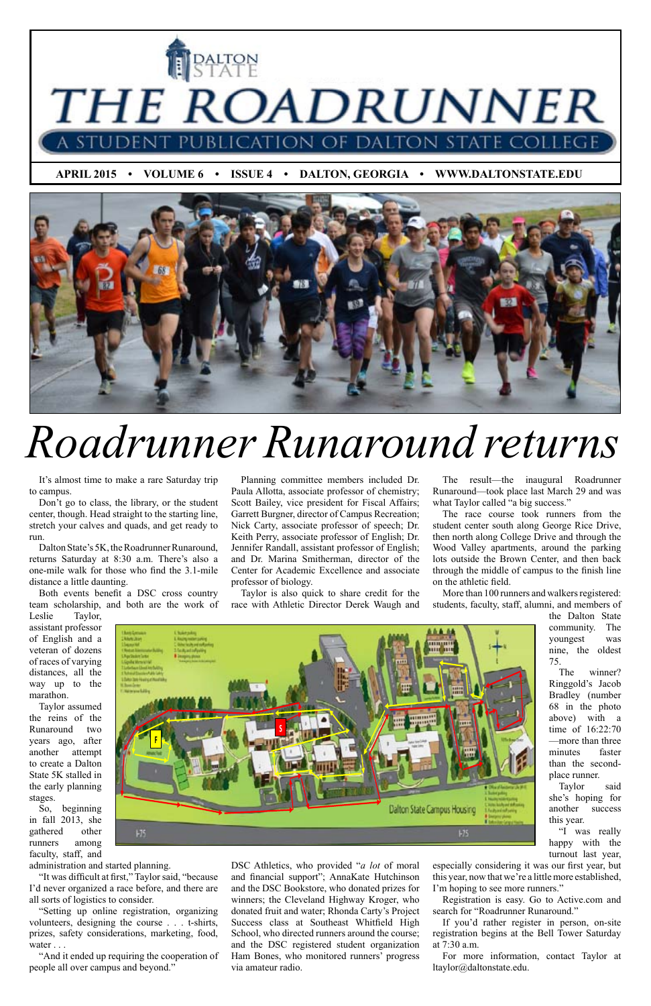

 **APRIL 2015 • VOLUME 6 • ISSUE 4 • DALTON, GEORGIA • WWW.DALTONSTATE.EDU**



It's almost time to make a rare Saturday trip to campus.

Don't go to class, the library, or the student center, though. Head straight to the starting line, stretch your calves and quads, and get ready to run.

Dalton State's 5K, the Roadrunner Runaround, returns Saturday at 8:30 a.m. There's also a one-mile walk for those who find the 3.1-mile distance a little daunting.

Both events benefit a DSC cross country team scholarship, and both are the work of

"Setting up online registration, organizing volunteers, designing the course . . . t-shirts, prizes, safety considerations, marketing, food, water . . .

Leslie Taylor, assistant professor of English and a veteran of dozens of races of varying distances, all the way up to the marathon.

The result—the inaugural Roadrunner Runaround—took place last March 29 and was what Taylor called "a big success."

Taylor assumed the reins of the Runaround two

years ago, after another attempt to create a Dalton State 5K stalled in the early planning stages.

So, beginning in fall 2013, she gathered other runners among faculty, staff, and

administration and started planning.

"It was difficult at first," Taylor said, "because I'd never organized a race before, and there are all sorts of logistics to consider.

Planning committee members included Dr. Paula Allotta, associate professor of chemistry; Scott Bailey, vice president for Fiscal Affairs; Garrett Burgner, director of Campus Recreation; Nick Carty, associate professor of speech; Dr. **From Start, associate professor of English; Dr. Keith Perry, associate professor of English; Dr.** Jennifer Randall, assistant professor of English; and Dr. Marina Smitherman, director of the Center for Academic Excellence and associate professor of biology.

"And it ended up requiring the cooperation of people all over campus and beyond."

The race course took runners from the student center south along George Rice Drive, then north along College Drive and through the Wood Valley apartments, around the parking lots outside the Brown Center, and then back through the middle of campus to the finish line on the athletic field.

More than 100 runners and walkers registered: students, faculty, staff, alumni, and members of

> the Dalton State community. The youngest was nine, the oldest 75.

> The winner? Ringgold's Jacob Bradley (number 68 in the photo above) with a time of 16:22:70 —more than three

minutes faster than the secondplace runner.

Taylor said she's hoping for another success

this year.

"I was really happy with the

turnout last year, especially considering it was our first year, but this year, now that we're a little more established,

I'm hoping to see more runners."

Registration is easy. Go to Active.com and search for "Roadrunner Runaround."

If you'd rather register in person, on-site registration begins at the Bell Tower Saturday at 7:30 a.m.

For more information, contact Taylor at ltaylor@daltonstate.edu.

Taylor is also quick to share credit for the race with Athletic Director Derek Waugh and

DSC Athletics, who provided "*a lot* of moral and financial support"; AnnaKate Hutchinson and the DSC Bookstore, who donated prizes for winners; the Cleveland Highway Kroger, who donated fruit and water; Rhonda Carty's Project Success class at Southeast Whitfield High School, who directed runners around the course; and the DSC registered student organization Ham Bones, who monitored runners' progress<br>via amateur radio via amateur radio.

# *Roadrunner Runaround returns*

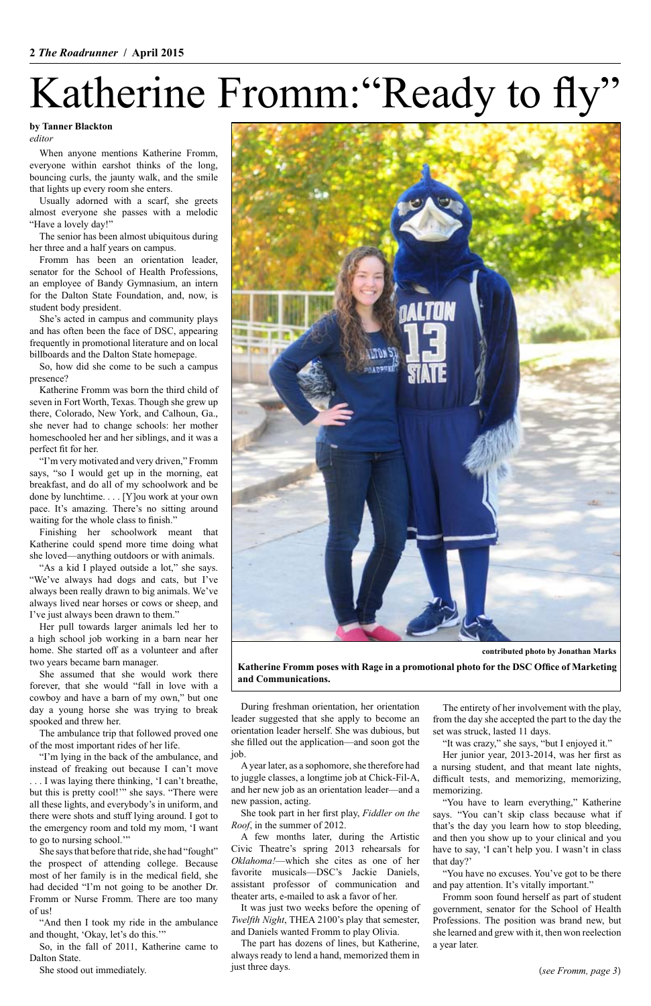# Katherine Fromm: "Ready to fly"

When anyone mentions Katherine Fromm, everyone within earshot thinks of the long, bouncing curls, the jaunty walk, and the smile that lights up every room she enters.

Usually adorned with a scarf, she greets almost everyone she passes with a melodic "Have a lovely day!"

The senior has been almost ubiquitous during her three and a half years on campus.

Fromm has been an orientation leader, senator for the School of Health Professions, an employee of Bandy Gymnasium, an intern for the Dalton State Foundation, and, now, is student body president.

She's acted in campus and community plays and has often been the face of DSC, appearing frequently in promotional literature and on local billboards and the Dalton State homepage.

So, how did she come to be such a campus presence?

Katherine Fromm was born the third child of seven in Fort Worth, Texas. Though she grew up there, Colorado, New York, and Calhoun, Ga., she never had to change schools: her mother homeschooled her and her siblings, and it was a perfect fit for her.

"I'm very motivated and very driven," Fromm says, "so I would get up in the morning, eat breakfast, and do all of my schoolwork and be done by lunchtime. . . . [Y]ou work at your own pace. It's amazing. There's no sitting around waiting for the whole class to finish."

Finishing her schoolwork meant that Katherine could spend more time doing what she loved—anything outdoors or with animals.

"As a kid I played outside a lot," she says. "We've always had dogs and cats, but I've always been really drawn to big animals. We've always lived near horses or cows or sheep, and I've just always been drawn to them."

Her pull towards larger animals led her to a high school job working in a barn near her home. She started off as a volunteer and after two years became barn manager.

She assumed that she would work there forever, that she would "fall in love with a cowboy and have a barn of my own," but one day a young horse she was trying to break spooked and threw her.

The ambulance trip that followed proved one

of the most important rides of her life.

"I'm lying in the back of the ambulance, and instead of freaking out because I can't move . . . I was laying there thinking, 'I can't breathe, but this is pretty cool!'" she says. "There were all these lights, and everybody's in uniform, and there were shots and stuff lying around. I got to the emergency room and told my mom, 'I want to go to nursing school.'"

She says that before that ride, she had "fought" the prospect of attending college. Because most of her family is in the medical field, she had decided "I'm not going to be another Dr. Fromm or Nurse Fromm. There are too many of us!

"And then I took my ride in the ambulance and thought, 'Okay, let's do this.'"

So, in the fall of 2011, Katherine came to Dalton State.

She stood out immediately.

#### **by Tanner Blackton**

*editor*

(*see Fromm, page 3*)

During freshman orientation, her orientation leader suggested that she apply to become an orientation leader herself. She was dubious, but she filled out the application—and soon got the job.

A year later, as a sophomore, she therefore had to juggle classes, a longtime job at Chick-Fil-A, and her new job as an orientation leader—and a new passion, acting.

She took part in her first play, *Fiddler on the Roof*, in the summer of 2012.

A few months later, during the Artistic Civic Theatre's spring 2013 rehearsals for *Oklahoma!*—which she cites as one of her favorite musicals—DSC's Jackie Daniels, assistant professor of communication and theater arts, e-mailed to ask a favor of her.

It was just two weeks before the opening of *Twelfth Night*, THEA 2100's play that semester, and Daniels wanted Fromm to play Olivia.

The part has dozens of lines, but Katherine, always ready to lend a hand, memorized them in just three days.

The entirety of her involvement with the play, from the day she accepted the part to the day the set was struck, lasted 11 days. "It was crazy," she says, "but I enjoyed it." Her junior year, 2013-2014, was her first as a nursing student, and that meant late nights, difficult tests, and memorizing, memorizing, memorizing.

"You have to learn everything," Katherine says. "You can't skip class because what if that's the day you learn how to stop bleeding, and then you show up to your clinical and you have to say, 'I can't help you. I wasn't in class that day?'

"You have no excuses. You've got to be there and pay attention. It's vitally important."

Fromm soon found herself as part of student government, senator for the School of Health Professions. The position was brand new, but she learned and grew with it, then won reelection a year later.

**Katherine Fromm poses with Rage in a promotional photo for the DSC Office of Marketing and Communications.**



**contributed photo by Jonathan Marks**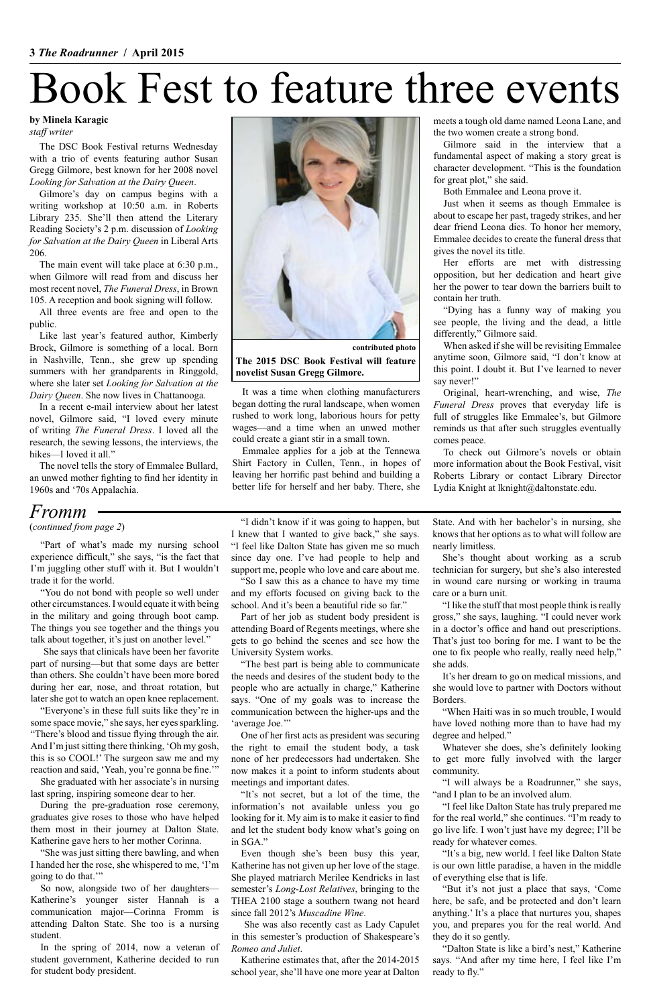The DSC Book Festival returns Wednesday with a trio of events featuring author Susan Gregg Gilmore, best known for her 2008 novel *Looking for Salvation at the Dairy Queen*.

Gilmore's day on campus begins with a writing workshop at 10:50 a.m. in Roberts Library 235. She'll then attend the Literary Reading Society's 2 p.m. discussion of *Looking for Salvation at the Dairy Queen* in Liberal Arts 206.

In a recent e-mail interview about her latest novel, Gilmore said, "I loved every minute of writing *The Funeral Dress*. I loved all the research, the sewing lessons, the interviews, the hikes—I loved it all."

The main event will take place at 6:30 p.m., when Gilmore will read from and discuss her most recent novel, *The Funeral Dress*, in Brown 105. A reception and book signing will follow.

All three events are free and open to the public.

Like last year's featured author, Kimberly Brock, Gilmore is something of a local. Born in Nashville, Tenn., she grew up spending summers with her grandparents in Ringgold, where she later set *Looking for Salvation at the Dairy Queen*. She now lives in Chattanooga.

The novel tells the story of Emmalee Bullard, an unwed mother fighting to find her identity in 1960s and '70s Appalachia.

### Book Fest to feature three events

#### **by Minela Karagic**

*staff writer*

"I didn't know if it was going to happen, but I knew that I wanted to give back," she says. "I feel like Dalton State has given me so much since day one. I've had people to help and support me, people who love and care about me.

"So I saw this as a chance to have my time and my efforts focused on giving back to the school. And it's been a beautiful ride so far."

Part of her job as student body president is attending Board of Regents meetings, where she gets to go behind the scenes and see how the University System works.

"The best part is being able to communicate the needs and desires of the student body to the people who are actually in charge," Katherine says. "One of my goals was to increase the communication between the higher-ups and the 'average Joe.'"

One of her first acts as president was securing

the right to email the student body, a task none of her predecessors had undertaken. She now makes it a point to inform students about meetings and important dates.

"It's not secret, but a lot of the time, the information's not available unless you go looking for it. My aim is to make it easier to find and let the student body know what's going on in SGA."

Even though she's been busy this year, Katherine has not given up her love of the stage. She played matriarch Merilee Kendricks in last semester's *Long-Lost Relatives*, bringing to the THEA 2100 stage a southern twang not heard since fall 2012's *Muscadine Wine*.

She was also recently cast as Lady Capulet in this semester's production of Shakespeare's *Romeo and Juliet*.

Katherine estimates that, after the 2014-2015 school year, she'll have one more year at Dalton State. And with her bachelor's in nursing, she knows that her options as to what will follow are nearly limitless.

She's thought about working as a scrub technician for surgery, but she's also interested in wound care nursing or working in trauma care or a burn unit.

"I like the stuff that most people think is really gross," she says, laughing. "I could never work in a doctor's office and hand out prescriptions. That's just too boring for me. I want to be the one to fix people who really, really need help," she adds.

It's her dream to go on medical missions, and she would love to partner with Doctors without Borders.

When asked if she will be revisiting Emmalee anytime soon, Gilmore said, "I don't know at this point. I doubt it. But I've learned to never say never!"

"When Haiti was in so much trouble, I would have loved nothing more than to have had my degree and helped." Whatever she does, she's definitely looking to get more fully involved with the larger community.

"I will always be a Roadrunner," she says, "and I plan to be an involved alum.

"I feel like Dalton State has truly prepared me for the real world," she continues. "I'm ready to go live life. I won't just have my degree; I'll be ready for whatever comes.

"It's a big, new world. I feel like Dalton State is our own little paradise, a haven in the middle of everything else that is life.

"But it's not just a place that says, 'Come here, be safe, and be protected and don't learn anything.' It's a place that nurtures you, shapes you, and prepares you for the real world. And they do it so gently.

"Dalton State is like a bird's nest," Katherine says. "And after my time here, I feel like I'm ready to fly."

"Part of what's made my nursing school experience difficult," she says, "is the fact that I'm juggling other stuff with it. But I wouldn't trade it for the world.

"You do not bond with people so well under other circumstances. I would equate it with being in the military and going through boot camp. The things you see together and the things you talk about together, it's just on another level."

She says that clinicals have been her favorite part of nursing—but that some days are better than others. She couldn't have been more bored during her ear, nose, and throat rotation, but later she got to watch an open knee replacement.

"Everyone's in these full suits like they're in some space movie," she says, her eyes sparkling. "There's blood and tissue flying through the air.

And I'm just sitting there thinking, 'Oh my gosh, this is so COOL!' The surgeon saw me and my reaction and said, 'Yeah, you're gonna be fine.'"

She graduated with her associate's in nursing last spring, inspiring someone dear to her.

During the pre-graduation rose ceremony, graduates give roses to those who have helped them most in their journey at Dalton State. Katherine gave hers to her mother Corinna.

"She was just sitting there bawling, and when I handed her the rose, she whispered to me, 'I'm going to do that.'"

So now, alongside two of her daughters— Katherine's younger sister Hannah is a communication major—Corinna Fromm is attending Dalton State. She too is a nursing student.

In the spring of 2014, now a veteran of student government, Katherine decided to run for student body president.

It was a time when clothing manufacturers began dotting the rural landscape, when women rushed to work long, laborious hours for petty wages—and a time when an unwed mother could create a giant stir in a small town.

Emmalee applies for a job at the Tennewa Shirt Factory in Cullen, Tenn., in hopes of leaving her horrific past behind and building a better life for herself and her baby. There, she

meets a tough old dame named Leona Lane, and the two women create a strong bond.

Gilmore said in the interview that a fundamental aspect of making a story great is character development. "This is the foundation for great plot," she said.

Both Emmalee and Leona prove it.

Just when it seems as though Emmalee is about to escape her past, tragedy strikes, and her dear friend Leona dies. To honor her memory, Emmalee decides to create the funeral dress that gives the novel its title.

Her efforts are met with distressing opposition, but her dedication and heart give her the power to tear down the barriers built to contain her truth.

"Dying has a funny way of making you see people, the living and the dead, a little differently," Gilmore said.

Original, heart-wrenching, and wise, *The Funeral Dress* proves that everyday life is full of struggles like Emmalee's, but Gilmore reminds us that after such struggles eventually comes peace.

To check out Gilmore's novels or obtain more information about the Book Festival, visit Roberts Library or contact Library Director Lydia Knight at lknight@daltonstate.edu.

**The 2015 DSC Book Festival will feature novelist Susan Gregg Gilmore.**



**contributed photo**

### *Fromm*

(*continued from page 2*)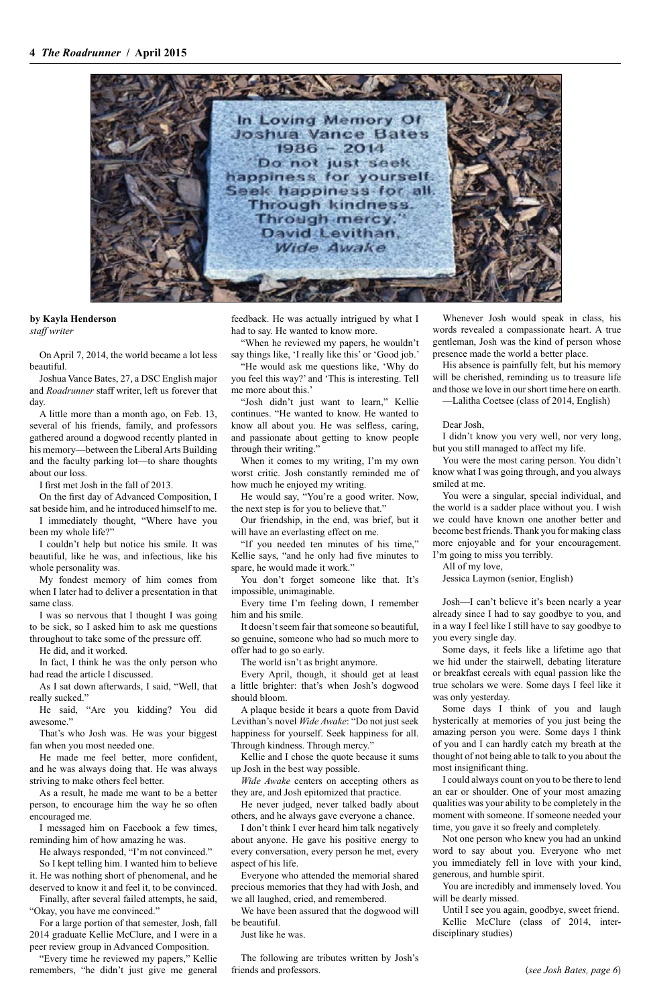

**by Kayla Henderson** *staff writer*

On April 7, 2014, the world became a lot less beautiful.

Joshua Vance Bates, 27, a DSC English major and *Roadrunner* staff writer, left us forever that day.

A little more than a month ago, on Feb. 13, several of his friends, family, and professors gathered around a dogwood recently planted in his memory—between the Liberal Arts Building and the faculty parking lot—to share thoughts about our loss.

I first met Josh in the fall of 2013.

On the first day of Advanced Composition, I sat beside him, and he introduced himself to me.

I immediately thought, "Where have you been my whole life?"

I couldn't help but notice his smile. It was beautiful, like he was, and infectious, like his whole personality was.

My fondest memory of him comes from when I later had to deliver a presentation in that same class.

I was so nervous that I thought I was going to be sick, so I asked him to ask me questions throughout to take some of the pressure off.

He did, and it worked.

In fact, I think he was the only person who had read the article I discussed.

As I sat down afterwards, I said, "Well, that really sucked."

He said, "Are you kidding? You did awesome."

That's who Josh was. He was your biggest

fan when you most needed one.

He made me feel better, more confident, and he was always doing that. He was always striving to make others feel better.

As a result, he made me want to be a better person, to encourage him the way he so often encouraged me.

I messaged him on Facebook a few times, reminding him of how amazing he was.

He always responded, "I'm not convinced."

So I kept telling him. I wanted him to believe it. He was nothing short of phenomenal, and he deserved to know it and feel it, to be convinced.

Finally, after several failed attempts, he said, "Okay, you have me convinced."

For a large portion of that semester, Josh, fall 2014 graduate Kellie McClure, and I were in a peer review group in Advanced Composition.

"Every time he reviewed my papers," Kellie remembers, "he didn't just give me general

feedback. He was actually intrigued by what I had to say. He wanted to know more.

"When he reviewed my papers, he wouldn't say things like, 'I really like this' or 'Good job.'

"He would ask me questions like, 'Why do you feel this way?' and 'This is interesting. Tell me more about this.'

"Josh didn't just want to learn," Kellie continues. "He wanted to know. He wanted to know all about you. He was selfless, caring, and passionate about getting to know people through their writing."

When it comes to my writing, I'm my own worst critic. Josh constantly reminded me of how much he enjoyed my writing.

He would say, "You're a good writer. Now, the next step is for you to believe that."

Our friendship, in the end, was brief, but it will have an everlasting effect on me.

"If you needed ten minutes of his time," Kellie says, "and he only had five minutes to spare, he would made it work."

You don't forget someone like that. It's impossible, unimaginable.

Every time I'm feeling down, I remember him and his smile.

It doesn't seem fair that someone so beautiful, so genuine, someone who had so much more to offer had to go so early.

The world isn't as bright anymore.

Every April, though, it should get at least a little brighter: that's when Josh's dogwood should bloom.

A plaque beside it bears a quote from David Levithan's novel *Wide Awake*: "Do not just seek happiness for yourself. Seek happiness for all.

Through kindness. Through mercy."

Kellie and I chose the quote because it sums up Josh in the best way possible.

*Wide Awake* centers on accepting others as they are, and Josh epitomized that practice.

He never judged, never talked badly about others, and he always gave everyone a chance.

I don't think I ever heard him talk negatively about anyone. He gave his positive energy to every conversation, every person he met, every aspect of his life.

Everyone who attended the memorial shared precious memories that they had with Josh, and we all laughed, cried, and remembered.

We have been assured that the dogwood will be beautiful.

Just like he was.

The following are tributes written by Josh's friends and professors.

Whenever Josh would speak in class, his words revealed a compassionate heart. A true gentleman, Josh was the kind of person whose presence made the world a better place.

His absence is painfully felt, but his memory will be cherished, reminding us to treasure life and those we love in our short time here on earth.

—Lalitha Coetsee (class of 2014, English)

Dear Josh,

I didn't know you very well, nor very long, but you still managed to affect my life.

You were the most caring person. You didn't know what I was going through, and you always smiled at me.

You were a singular, special individual, and the world is a sadder place without you. I wish we could have known one another better and become best friends. Thank you for making class more enjoyable and for your encouragement. I'm going to miss you terribly.

All of my love,

Jessica Laymon (senior, English)

Josh—I can't believe it's been nearly a year already since I had to say goodbye to you, and in a way I feel like I still have to say goodbye to you every single day.

Some days, it feels like a lifetime ago that we hid under the stairwell, debating literature or breakfast cereals with equal passion like the true scholars we were. Some days I feel like it was only yesterday.

Some days I think of you and laugh hysterically at memories of you just being the amazing person you were. Some days I think of you and I can hardly catch my breath at the thought of not being able to talk to you about the most insignificant thing. I could always count on you to be there to lend an ear or shoulder. One of your most amazing qualities was your ability to be completely in the moment with someone. If someone needed your time, you gave it so freely and completely. Not one person who knew you had an unkind word to say about you. Everyone who met you immediately fell in love with your kind, generous, and humble spirit.

You are incredibly and immensely loved. You will be dearly missed.

Until I see you again, goodbye, sweet friend. Kellie McClure (class of 2014, interdisciplinary studies)

(*see Josh Bates, page 6*)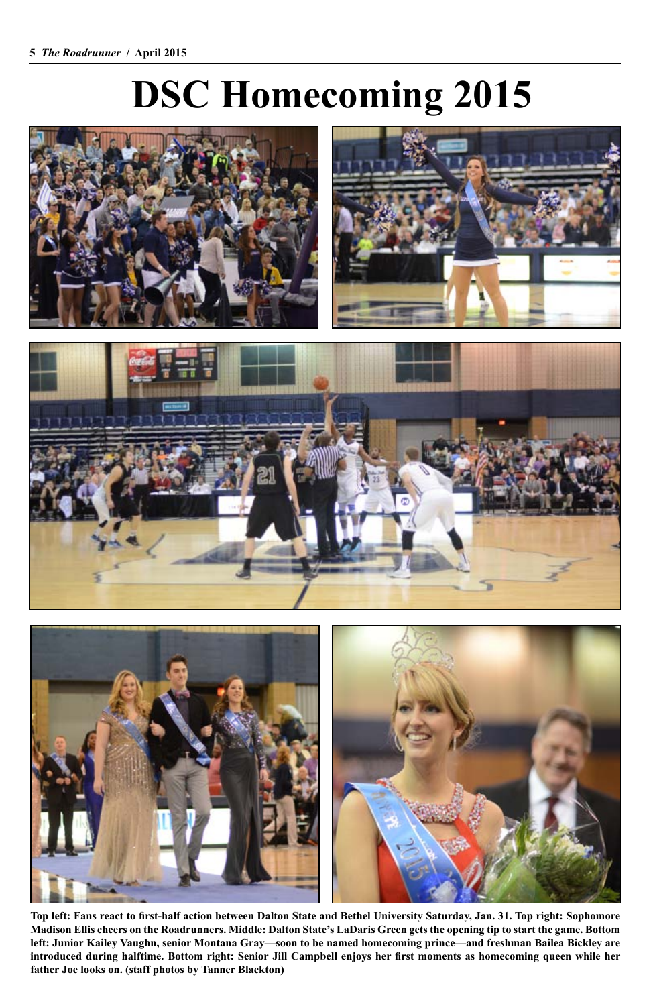### **DSC Homecoming 2015**







**Top left: Fans react to first-half action between Dalton State and Bethel University Saturday, Jan. 31. Top right: Sophomore Madison Ellis cheers on the Roadrunners. Middle: Dalton State's LaDaris Green gets the opening tip to start the game. Bottom left: Junior Kailey Vaughn, senior Montana Gray—soon to be named homecoming prince—and freshman Bailea Bickley are introduced during halftime. Bottom right: Senior Jill Campbell enjoys her first moments as homecoming queen while her father Joe looks on. (staff photos by Tanner Blackton)**